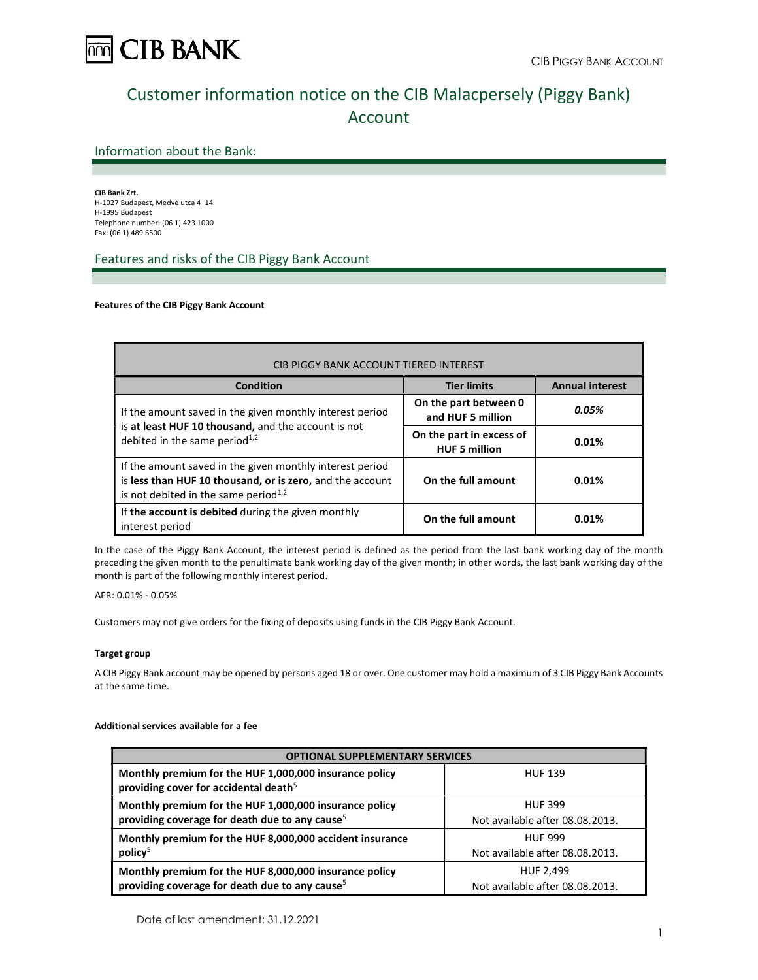

# Customer information notice on the CIB Malacpersely (Piggy Bank) Account

# Information about the Bank:

CIB Bank Zrt. H-1027 Budapest, Medve utca 4–14. H-1995 Budapest Telephone number: (06 1) 423 1000 Fax: (06 1) 489 6500

# Features and risks of the CIB Piggy Bank Account

## Features of the CIB Piggy Bank Account

| <b>CIB PIGGY BANK ACCOUNT TIERED INTEREST</b>                                                                                                                    |                                                  |                        |
|------------------------------------------------------------------------------------------------------------------------------------------------------------------|--------------------------------------------------|------------------------|
| Condition                                                                                                                                                        | <b>Tier limits</b>                               | <b>Annual interest</b> |
| If the amount saved in the given monthly interest period                                                                                                         | On the part between 0<br>and HUF 5 million       | 0.05%                  |
| is at least HUF 10 thousand, and the account is not<br>debited in the same period <sup>1,2</sup>                                                                 | On the part in excess of<br><b>HUF 5 million</b> | 0.01%                  |
| If the amount saved in the given monthly interest period<br>is less than HUF 10 thousand, or is zero, and the account<br>is not debited in the same period $1,2$ | On the full amount                               | 0.01%                  |
| If the account is debited during the given monthly<br>interest period                                                                                            | On the full amount                               | 0.01%                  |

In the case of the Piggy Bank Account, the interest period is defined as the period from the last bank working day of the month preceding the given month to the penultimate bank working day of the given month; in other words, the last bank working day of the month is part of the following monthly interest period.

AER: 0.01% - 0.05%

Customers may not give orders for the fixing of deposits using funds in the CIB Piggy Bank Account.

## Target group

A CIB Piggy Bank account may be opened by persons aged 18 or over. One customer may hold a maximum of 3 CIB Piggy Bank Accounts at the same time.

## Additional services available for a fee

| <b>OPTIONAL SUPPLEMENTARY SERVICES</b>                                                                               |                                                   |
|----------------------------------------------------------------------------------------------------------------------|---------------------------------------------------|
| Monthly premium for the HUF 1,000,000 insurance policy<br>providing cover for accidental death <sup>5</sup>          | <b>HUF 139</b>                                    |
| Monthly premium for the HUF 1,000,000 insurance policy<br>providing coverage for death due to any cause <sup>5</sup> | <b>HUF 399</b><br>Not available after 08.08.2013. |
| Monthly premium for the HUF 8,000,000 accident insurance                                                             | <b>HUF 999</b>                                    |
| policy <sup>5</sup>                                                                                                  | Not available after 08.08.2013.                   |
| Monthly premium for the HUF 8,000,000 insurance policy                                                               | HUF 2,499                                         |
| providing coverage for death due to any cause <sup>5</sup>                                                           | Not available after 08.08.2013.                   |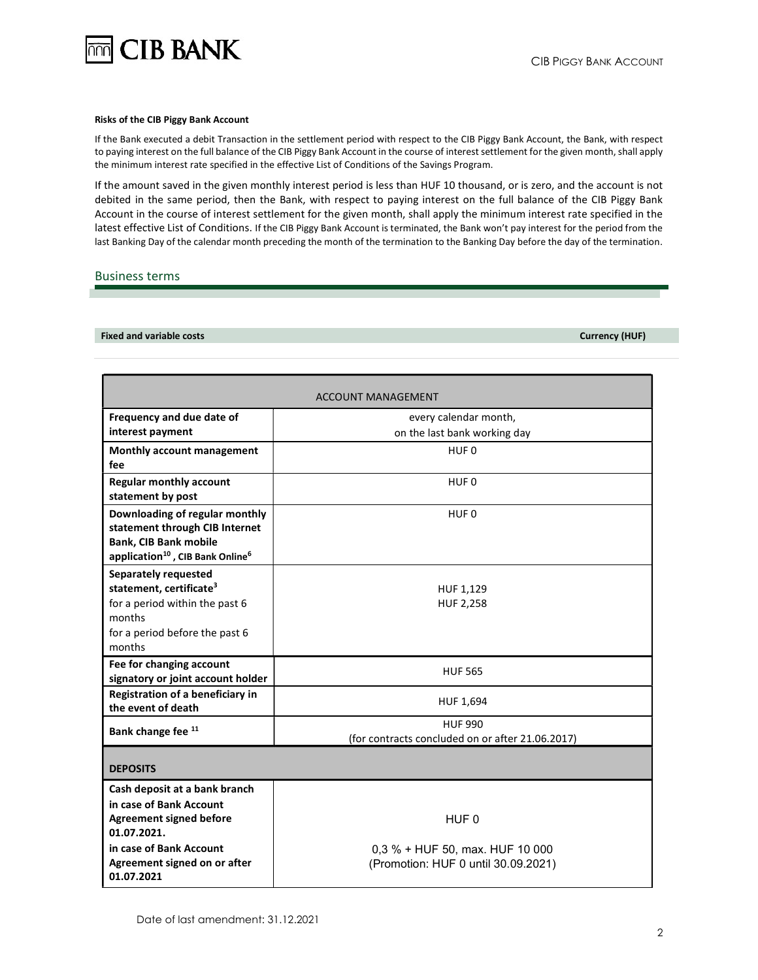

#### Risks of the CIB Piggy Bank Account

If the Bank executed a debit Transaction in the settlement period with respect to the CIB Piggy Bank Account, the Bank, with respect to paying interest on the full balance of the CIB Piggy Bank Account in the course of interest settlement for the given month, shall apply the minimum interest rate specified in the effective List of Conditions of the Savings Program.

If the amount saved in the given monthly interest period is less than HUF 10 thousand, or is zero, and the account is not debited in the same period, then the Bank, with respect to paying interest on the full balance of the CIB Piggy Bank Account in the course of interest settlement for the given month, shall apply the minimum interest rate specified in the latest effective List of Conditions. If the CIB Piggy Bank Account is terminated, the Bank won't pay interest for the period from the last Banking Day of the calendar month preceding the month of the termination to the Banking Day before the day of the termination.

## Business terms

Fixed and variable costs Currency (HUF)

|                                                                                                                                                              | ACCOUNT MANAGEMENT                               |
|--------------------------------------------------------------------------------------------------------------------------------------------------------------|--------------------------------------------------|
| Frequency and due date of                                                                                                                                    | every calendar month,                            |
| interest payment                                                                                                                                             | on the last bank working day                     |
| Monthly account management<br>fee                                                                                                                            | HUF 0                                            |
| <b>Regular monthly account</b><br>statement by post                                                                                                          | HUF <sub>0</sub>                                 |
| Downloading of regular monthly<br>statement through CIB Internet<br><b>Bank, CIB Bank mobile</b><br>application <sup>10</sup> , CIB Bank Online <sup>6</sup> | HUF <sub>0</sub>                                 |
| <b>Separately requested</b>                                                                                                                                  |                                                  |
| statement, certificate <sup>3</sup>                                                                                                                          | HUF 1,129                                        |
| for a period within the past 6                                                                                                                               | <b>HUF 2,258</b>                                 |
| months                                                                                                                                                       |                                                  |
| for a period before the past 6                                                                                                                               |                                                  |
| months                                                                                                                                                       |                                                  |
| Fee for changing account<br>signatory or joint account holder                                                                                                | <b>HUF 565</b>                                   |
| Registration of a beneficiary in<br>the event of death                                                                                                       | HUF 1,694                                        |
|                                                                                                                                                              | <b>HUF 990</b>                                   |
| Bank change fee 11                                                                                                                                           | (for contracts concluded on or after 21.06.2017) |
| <b>DEPOSITS</b>                                                                                                                                              |                                                  |
| Cash deposit at a bank branch                                                                                                                                |                                                  |
| in case of Bank Account                                                                                                                                      |                                                  |
| <b>Agreement signed before</b>                                                                                                                               | HUF <sub>0</sub>                                 |
| 01.07.2021.                                                                                                                                                  |                                                  |
| in case of Bank Account                                                                                                                                      | 0,3 % + HUF 50, max. HUF 10 000                  |
| Agreement signed on or after                                                                                                                                 | (Promotion: HUF 0 until 30.09.2021)              |
| 01.07.2021                                                                                                                                                   |                                                  |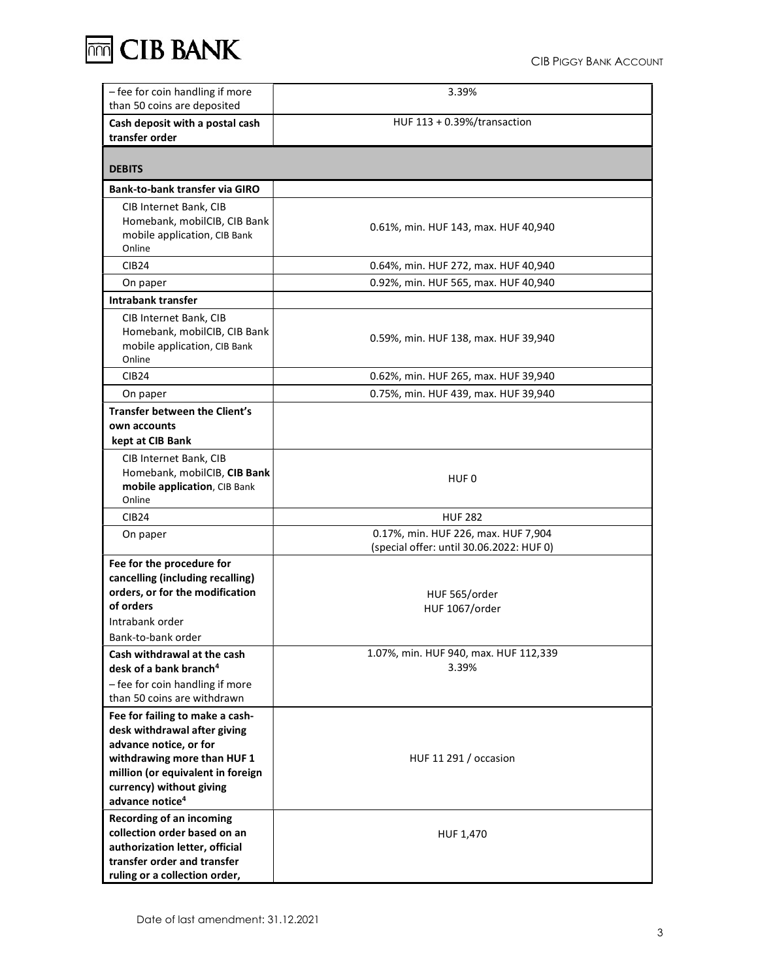**THT CIB BANK** 

| - fee for coin handling if more<br>than 50 coins are deposited                                                                                                                                                           | 3.39%                                                                           |
|--------------------------------------------------------------------------------------------------------------------------------------------------------------------------------------------------------------------------|---------------------------------------------------------------------------------|
| Cash deposit with a postal cash<br>transfer order                                                                                                                                                                        | HUF $113 + 0.39%$ /transaction                                                  |
| <b>DEBITS</b>                                                                                                                                                                                                            |                                                                                 |
| Bank-to-bank transfer via GIRO                                                                                                                                                                                           |                                                                                 |
| CIB Internet Bank, CIB<br>Homebank, mobilCIB, CIB Bank<br>mobile application, CIB Bank<br>Online                                                                                                                         | 0.61%, min. HUF 143, max. HUF 40,940                                            |
| CIB <sub>24</sub>                                                                                                                                                                                                        | 0.64%, min. HUF 272, max. HUF 40,940                                            |
| On paper                                                                                                                                                                                                                 | 0.92%, min. HUF 565, max. HUF 40,940                                            |
| Intrabank transfer                                                                                                                                                                                                       |                                                                                 |
| CIB Internet Bank, CIB<br>Homebank, mobilCIB, CIB Bank<br>mobile application, CIB Bank<br>Online                                                                                                                         | 0.59%, min. HUF 138, max. HUF 39,940                                            |
| <b>CIB24</b>                                                                                                                                                                                                             | 0.62%, min. HUF 265, max. HUF 39,940                                            |
| On paper                                                                                                                                                                                                                 | 0.75%, min. HUF 439, max. HUF 39,940                                            |
| Transfer between the Client's<br>own accounts<br>kept at CIB Bank                                                                                                                                                        |                                                                                 |
| CIB Internet Bank, CIB<br>Homebank, mobilCIB, CIB Bank<br>mobile application, CIB Bank<br>Online                                                                                                                         | HUF 0                                                                           |
| <b>CIB24</b>                                                                                                                                                                                                             | <b>HUF 282</b>                                                                  |
| On paper                                                                                                                                                                                                                 | 0.17%, min. HUF 226, max. HUF 7,904<br>(special offer: until 30.06.2022: HUF 0) |
| Fee for the procedure for<br>cancelling (including recalling)<br>orders, or for the modification<br>of orders<br>Intrabank order<br>Bank-to-bank order                                                                   | HUF 565/order<br>HUF 1067/order                                                 |
| Cash withdrawal at the cash<br>desk of a bank branch <sup>4</sup><br>- fee for coin handling if more<br>than 50 coins are withdrawn                                                                                      | 1.07%, min. HUF 940, max. HUF 112,339<br>3.39%                                  |
| Fee for failing to make a cash-<br>desk withdrawal after giving<br>advance notice, or for<br>withdrawing more than HUF 1<br>million (or equivalent in foreign<br>currency) without giving<br>advance notice <sup>4</sup> | HUF 11 291 / occasion                                                           |
| <b>Recording of an incoming</b><br>collection order based on an<br>authorization letter, official<br>transfer order and transfer<br>ruling or a collection order,                                                        | HUF 1,470                                                                       |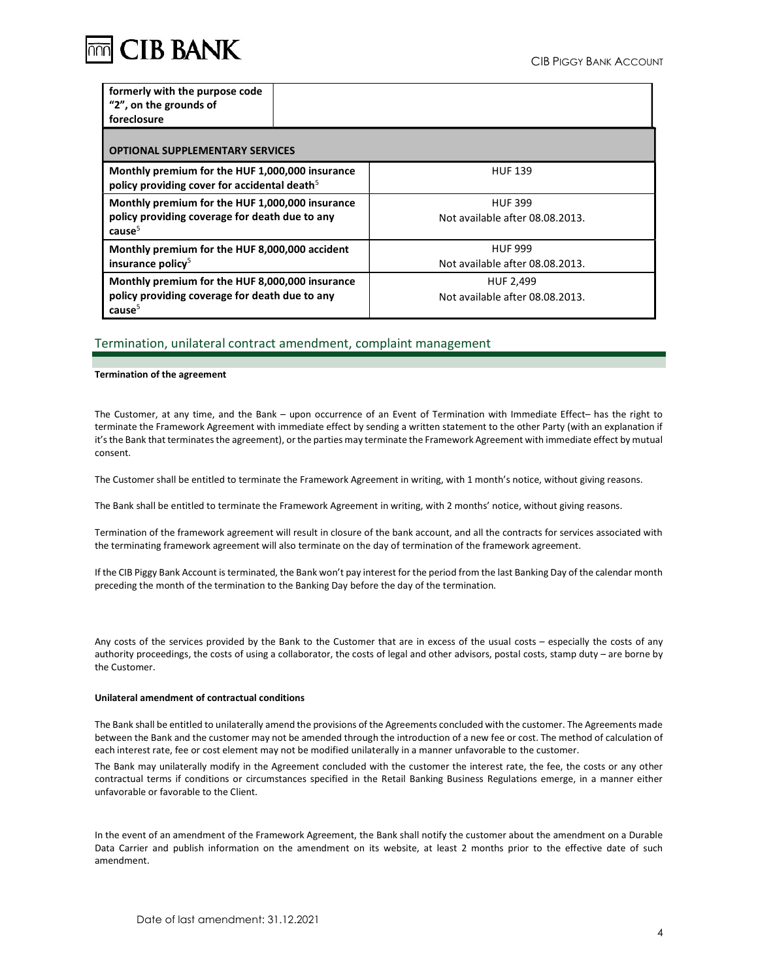

| formerly with the purpose code<br>"2", on the grounds of<br>foreclosure                                     |                                 |  |
|-------------------------------------------------------------------------------------------------------------|---------------------------------|--|
|                                                                                                             |                                 |  |
| <b>OPTIONAL SUPPLEMENTARY SERVICES</b>                                                                      |                                 |  |
| Monthly premium for the HUF 1,000,000 insurance<br>policy providing cover for accidental death <sup>5</sup> | <b>HUF 139</b>                  |  |
| Monthly premium for the HUF 1,000,000 insurance                                                             | <b>HUF 399</b>                  |  |
| policy providing coverage for death due to any<br>cause <sup>5</sup>                                        | Not available after 08.08.2013. |  |
| Monthly premium for the HUF 8,000,000 accident                                                              | <b>HUF 999</b>                  |  |
| insurance policy <sup>5</sup>                                                                               | Not available after 08.08.2013. |  |
| Monthly premium for the HUF 8,000,000 insurance                                                             | HUF 2,499                       |  |
| policy providing coverage for death due to any<br>cause <sup>5</sup>                                        | Not available after 08.08.2013. |  |

## Termination, unilateral contract amendment, complaint management

### Termination of the agreement

The Customer, at any time, and the Bank – upon occurrence of an Event of Termination with Immediate Effect– has the right to terminate the Framework Agreement with immediate effect by sending a written statement to the other Party (with an explanation if it's the Bank that terminates the agreement), or the parties may terminate the Framework Agreement with immediate effect by mutual consent.

The Customer shall be entitled to terminate the Framework Agreement in writing, with 1 month's notice, without giving reasons.

The Bank shall be entitled to terminate the Framework Agreement in writing, with 2 months' notice, without giving reasons.

Termination of the framework agreement will result in closure of the bank account, and all the contracts for services associated with the terminating framework agreement will also terminate on the day of termination of the framework agreement.

If the CIB Piggy Bank Account is terminated, the Bank won't pay interest for the period from the last Banking Day of the calendar month preceding the month of the termination to the Banking Day before the day of the termination.

Any costs of the services provided by the Bank to the Customer that are in excess of the usual costs – especially the costs of any authority proceedings, the costs of using a collaborator, the costs of legal and other advisors, postal costs, stamp duty – are borne by the Customer.

#### Unilateral amendment of contractual conditions

The Bank shall be entitled to unilaterally amend the provisions of the Agreements concluded with the customer. The Agreements made between the Bank and the customer may not be amended through the introduction of a new fee or cost. The method of calculation of each interest rate, fee or cost element may not be modified unilaterally in a manner unfavorable to the customer.

The Bank may unilaterally modify in the Agreement concluded with the customer the interest rate, the fee, the costs or any other contractual terms if conditions or circumstances specified in the Retail Banking Business Regulations emerge, in a manner either unfavorable or favorable to the Client.

In the event of an amendment of the Framework Agreement, the Bank shall notify the customer about the amendment on a Durable Data Carrier and publish information on the amendment on its website, at least 2 months prior to the effective date of such amendment.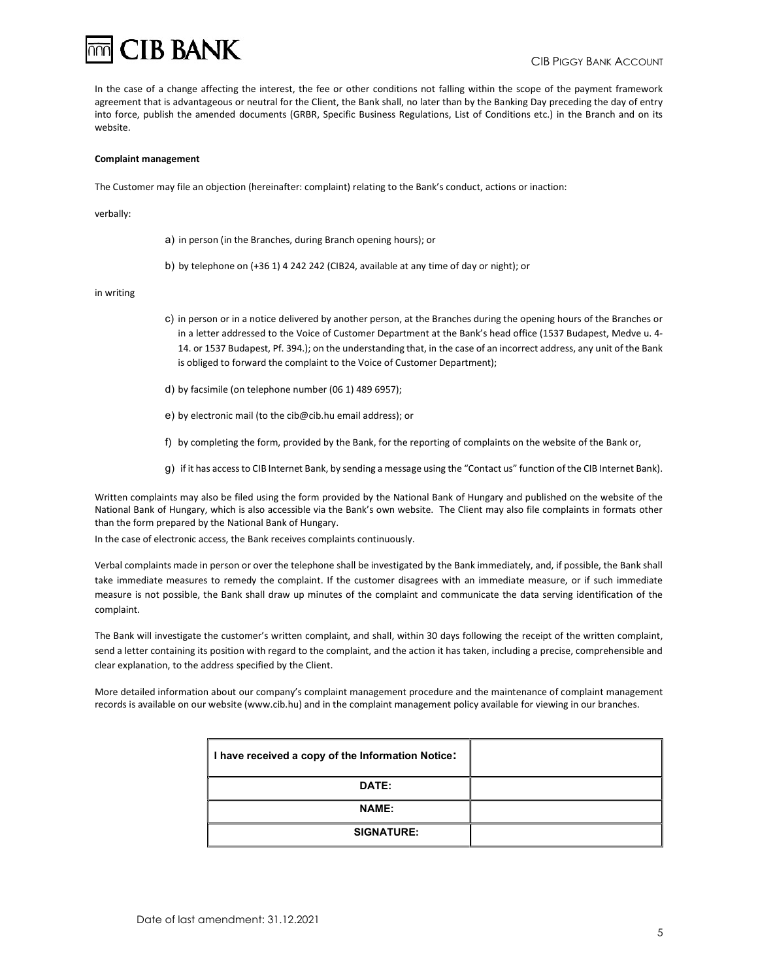

In the case of a change affecting the interest, the fee or other conditions not falling within the scope of the payment framework agreement that is advantageous or neutral for the Client, the Bank shall, no later than by the Banking Day preceding the day of entry into force, publish the amended documents (GRBR, Specific Business Regulations, List of Conditions etc.) in the Branch and on its website.

#### Complaint management

The Customer may file an objection (hereinafter: complaint) relating to the Bank's conduct, actions or inaction:

verbally:

a) in person (in the Branches, during Branch opening hours); or

b) by telephone on (+36 1) 4 242 242 (CIB24, available at any time of day or night); or

#### in writing

- c) in person or in a notice delivered by another person, at the Branches during the opening hours of the Branches or in a letter addressed to the Voice of Customer Department at the Bank's head office (1537 Budapest, Medve u. 4- 14. or 1537 Budapest, Pf. 394.); on the understanding that, in the case of an incorrect address, any unit of the Bank is obliged to forward the complaint to the Voice of Customer Department);
- d) by facsimile (on telephone number (06 1) 489 6957);
- e) by electronic mail (to the cib@cib.hu email address); or
- f) by completing the form, provided by the Bank, for the reporting of complaints on the website of the Bank or,
- g) if it has access to CIB Internet Bank, by sending a message using the "Contact us" function of the CIB Internet Bank).

Written complaints may also be filed using the form provided by the National Bank of Hungary and published on the website of the National Bank of Hungary, which is also accessible via the Bank's own website. The Client may also file complaints in formats other than the form prepared by the National Bank of Hungary.

In the case of electronic access, the Bank receives complaints continuously.

Verbal complaints made in person or over the telephone shall be investigated by the Bank immediately, and, if possible, the Bank shall take immediate measures to remedy the complaint. If the customer disagrees with an immediate measure, or if such immediate measure is not possible, the Bank shall draw up minutes of the complaint and communicate the data serving identification of the complaint.

The Bank will investigate the customer's written complaint, and shall, within 30 days following the receipt of the written complaint, send a letter containing its position with regard to the complaint, and the action it has taken, including a precise, comprehensible and clear explanation, to the address specified by the Client.

More detailed information about our company's complaint management procedure and the maintenance of complaint management records is available on our website (www.cib.hu) and in the complaint management policy available for viewing in our branches.

| I have received a copy of the Information Notice: |  |
|---------------------------------------------------|--|
| DATE:                                             |  |
| <b>NAME:</b>                                      |  |
| <b>SIGNATURE:</b>                                 |  |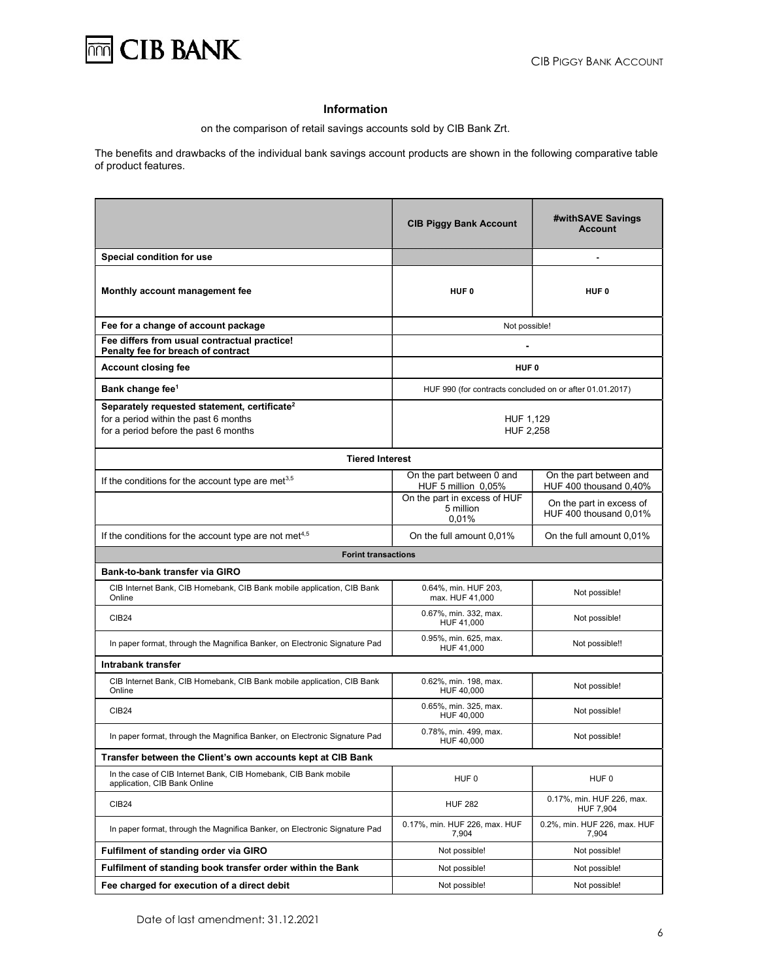

# Information

on the comparison of retail savings accounts sold by CIB Bank Zrt.

The benefits and drawbacks of the individual bank savings account products are shown in the following comparative table of product features.

|                                                                                                 | <b>CIB Piggy Bank Account</b>                            | #withSAVE Savings<br><b>Account</b>                |
|-------------------------------------------------------------------------------------------------|----------------------------------------------------------|----------------------------------------------------|
| Special condition for use                                                                       |                                                          |                                                    |
| Monthly account management fee                                                                  | HUF <sub>0</sub>                                         | HUF <sub>0</sub>                                   |
| Fee for a change of account package                                                             | Not possible!                                            |                                                    |
| Fee differs from usual contractual practice!<br>Penalty fee for breach of contract              |                                                          |                                                    |
| <b>Account closing fee</b>                                                                      | HUF <sub>0</sub>                                         |                                                    |
| Bank change fee <sup>1</sup>                                                                    | HUF 990 (for contracts concluded on or after 01.01.2017) |                                                    |
| Separately requested statement, certificate <sup>2</sup>                                        |                                                          |                                                    |
| for a period within the past 6 months                                                           | HUF 1,129                                                |                                                    |
| for a period before the past 6 months                                                           | <b>HUF 2,258</b>                                         |                                                    |
| <b>Tiered Interest</b>                                                                          |                                                          |                                                    |
| If the conditions for the account type are met <sup>3,5</sup>                                   | On the part between 0 and<br>HUF 5 million 0,05%         | On the part between and<br>HUF 400 thousand 0,40%  |
|                                                                                                 | On the part in excess of HUF<br>5 million<br>0.01%       | On the part in excess of<br>HUF 400 thousand 0,01% |
| If the conditions for the account type are not met <sup>4,5</sup>                               | On the full amount 0,01%                                 | On the full amount 0.01%                           |
| <b>Forint transactions</b>                                                                      |                                                          |                                                    |
| Bank-to-bank transfer via GIRO                                                                  |                                                          |                                                    |
| CIB Internet Bank, CIB Homebank, CIB Bank mobile application, CIB Bank<br>Online                | 0.64%, min. HUF 203,<br>max. HUF 41,000                  | Not possible!                                      |
| <b>CIB24</b>                                                                                    | 0.67%, min. 332, max.<br>HUF 41,000                      | Not possible!                                      |
| In paper format, through the Magnifica Banker, on Electronic Signature Pad                      | 0.95%, min. 625, max.<br>HUF 41,000                      | Not possible!!                                     |
| Intrabank transfer                                                                              |                                                          |                                                    |
| CIB Internet Bank, CIB Homebank, CIB Bank mobile application, CIB Bank<br>Online                | 0.62%, min. 198, max.<br>HUF 40,000                      | Not possible!                                      |
| <b>CIB24</b>                                                                                    | 0.65%, min. 325, max.<br>HUF 40.000                      | Not possible!                                      |
| In paper format, through the Magnifica Banker, on Electronic Signature Pad                      | 0.78%, min. 499, max.<br>HUF 40,000                      | Not possible!                                      |
| Transfer between the Client's own accounts kept at CIB Bank                                     |                                                          |                                                    |
| In the case of CIB Internet Bank, CIB Homebank, CIB Bank mobile<br>application, CIB Bank Online | HUF <sub>0</sub>                                         | HUF <sub>0</sub>                                   |
| <b>CIB24</b>                                                                                    | <b>HUF 282</b>                                           | 0.17%, min. HUF 226, max.<br>HUF 7,904             |
| In paper format, through the Magnifica Banker, on Electronic Signature Pad                      | 0.17%, min. HUF 226, max. HUF<br>7,904                   | 0.2%, min. HUF 226, max. HUF<br>7,904              |
| <b>Fulfilment of standing order via GIRO</b>                                                    | Not possible!                                            | Not possible!                                      |
| Fulfilment of standing book transfer order within the Bank                                      | Not possible!                                            | Not possible!                                      |
| Fee charged for execution of a direct debit                                                     | Not possible!                                            | Not possible!                                      |